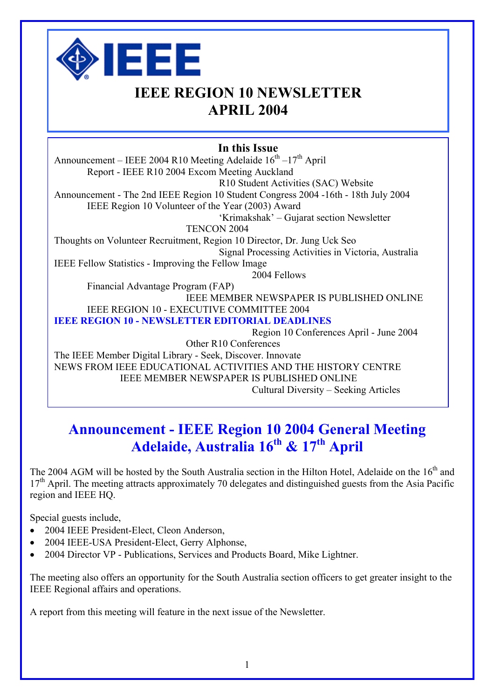

## **IEEE REGION 10 NEWSLETTER APRIL 2004**

## **In this Issue**

Announcement – IEEE 2004 R10 Meeting Adelaide  $16<sup>th</sup> - 17<sup>th</sup>$  April Report - IEEE R10 2004 Excom Meeting Auckland R10 Student Activities (SAC) Website Announcement - The 2nd IEEE Region 10 Student Congress 2004 -16th - 18th July 2004 IEEE Region 10 Volunteer of the Year (2003) Award 'Krimakshak' – Gujarat section Newsletter TENCON 2004 Thoughts on Volunteer Recruitment, Region 10 Director, Dr. Jung Uck Seo Signal Processing Activities in Victoria, Australia IEEE Fellow Statistics - Improving the Fellow Image 2004 Fellows Financial Advantage Program (FAP) IEEE MEMBER NEWSPAPER IS PUBLISHED ONLINE IEEE REGION 10 - EXECUTIVE COMMITTEE 2004 **IEEE REGION 10 - NEWSLETTER EDITORIAL DEADLINES**  Region 10 Conferences April - June 2004 Other R10 Conferences The IEEE Member Digital Library - Seek, Discover. Innovate NEWS FROM IEEE EDUCATIONAL ACTIVITIES AND THE HISTORY CENTRE IEEE MEMBER NEWSPAPER IS PUBLISHED ONLINE Cultural Diversity – Seeking Articles

# **Announcement - IEEE Region 10 2004 General Meeting**  Adelaide, Australia 16<sup>th</sup> & 17<sup>th</sup> April

The 2004 AGM will be hosted by the South Australia section in the Hilton Hotel, Adelaide on the 16<sup>th</sup> and 17<sup>th</sup> April. The meeting attracts approximately 70 delegates and distinguished guests from the Asia Pacific region and IEEE HQ.

Special guests include,

- 2004 IEEE President-Elect, Cleon Anderson,
- 2004 IEEE-USA President-Elect, Gerry Alphonse,
- 2004 Director VP Publications, Services and Products Board, Mike Lightner.

The meeting also offers an opportunity for the South Australia section officers to get greater insight to the IEEE Regional affairs and operations.

A report from this meeting will feature in the next issue of the Newsletter.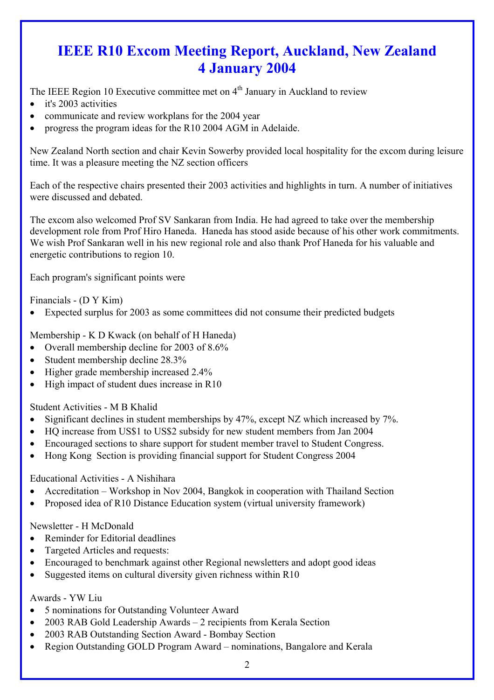# **IEEE R10 Excom Meeting Report, Auckland, New Zealand 4 January 2004**

The IEEE Region 10 Executive committee met on  $4<sup>th</sup>$  January in Auckland to review

- it's 2003 activities
- communicate and review workplans for the 2004 year
- progress the program ideas for the R10 2004 AGM in Adelaide.

New Zealand North section and chair Kevin Sowerby provided local hospitality for the excom during leisure time. It was a pleasure meeting the NZ section officers

Each of the respective chairs presented their 2003 activities and highlights in turn. A number of initiatives were discussed and debated.

The excom also welcomed Prof SV Sankaran from India. He had agreed to take over the membership development role from Prof Hiro Haneda. Haneda has stood aside because of his other work commitments. We wish Prof Sankaran well in his new regional role and also thank Prof Haneda for his valuable and energetic contributions to region 10.

Each program's significant points were

Financials - (D Y Kim)

• Expected surplus for 2003 as some committees did not consume their predicted budgets

Membership - K D Kwack (on behalf of H Haneda)

- Overall membership decline for 2003 of 8.6%
- Student membership decline 28.3%
- Higher grade membership increased 2.4%
- High impact of student dues increase in R10

Student Activities - M B Khalid

- Significant declines in student memberships by 47%, except NZ which increased by 7%.
- HQ increase from US\$1 to US\$2 subsidy for new student members from Jan 2004
- Encouraged sections to share support for student member travel to Student Congress.
- Hong Kong Section is providing financial support for Student Congress 2004

Educational Activities - A Nishihara

- Accreditation Workshop in Nov 2004, Bangkok in cooperation with Thailand Section
- Proposed idea of R10 Distance Education system (virtual university framework)

Newsletter - H McDonald

- Reminder for Editorial deadlines
- Targeted Articles and requests:
- Encouraged to benchmark against other Regional newsletters and adopt good ideas
- Suggested items on cultural diversity given richness within R10

Awards - YW Liu

- 5 nominations for Outstanding Volunteer Award
- 2003 RAB Gold Leadership Awards 2 recipients from Kerala Section
- 2003 RAB Outstanding Section Award Bombay Section
- Region Outstanding GOLD Program Award nominations, Bangalore and Kerala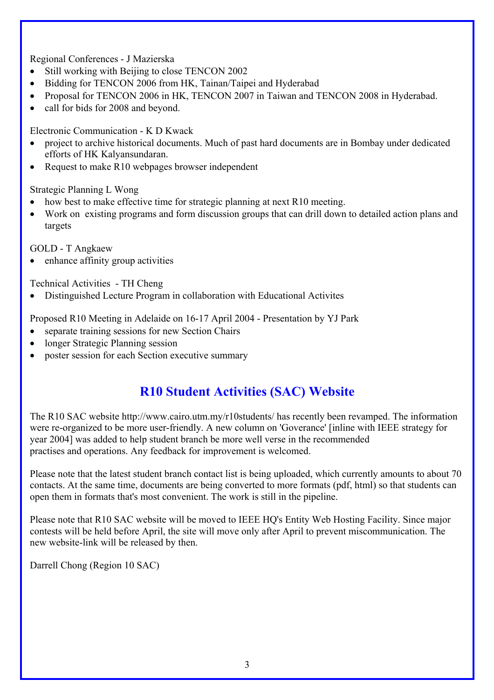### Regional Conferences - J Mazierska

- Still working with Beijing to close TENCON 2002
- Bidding for TENCON 2006 from HK, Tainan/Taipei and Hyderabad
- Proposal for TENCON 2006 in HK, TENCON 2007 in Taiwan and TENCON 2008 in Hyderabad.
- call for bids for 2008 and beyond.

Electronic Communication - K D Kwack

- project to archive historical documents. Much of past hard documents are in Bombay under dedicated efforts of HK Kalyansundaran.
- Request to make R10 webpages browser independent

Strategic Planning L Wong

- how best to make effective time for strategic planning at next R10 meeting.
- Work on existing programs and form discussion groups that can drill down to detailed action plans and targets

GOLD - T Angkaew

enhance affinity group activities

Technical Activities - TH Cheng

• Distinguished Lecture Program in collaboration with Educational Activites

Proposed R10 Meeting in Adelaide on 16-17 April 2004 - Presentation by YJ Park

- separate training sessions for new Section Chairs
- longer Strategic Planning session
- poster session for each Section executive summary

## **R10 Student Activities (SAC) Website**

The R10 SAC website http://www.cairo.utm.my/r10students/ has recently been revamped. The information were re-organized to be more user-friendly. A new column on 'Goverance' [inline with IEEE strategy for year 2004] was added to help student branch be more well verse in the recommended practises and operations. Any feedback for improvement is welcomed.

Please note that the latest student branch contact list is being uploaded, which currently amounts to about 70 contacts. At the same time, documents are being converted to more formats (pdf, html) so that students can open them in formats that's most convenient. The work is still in the pipeline.

Please note that R10 SAC website will be moved to IEEE HQ's Entity Web Hosting Facility. Since major contests will be held before April, the site will move only after April to prevent miscommunication. The new website-link will be released by then.

Darrell Chong (Region 10 SAC)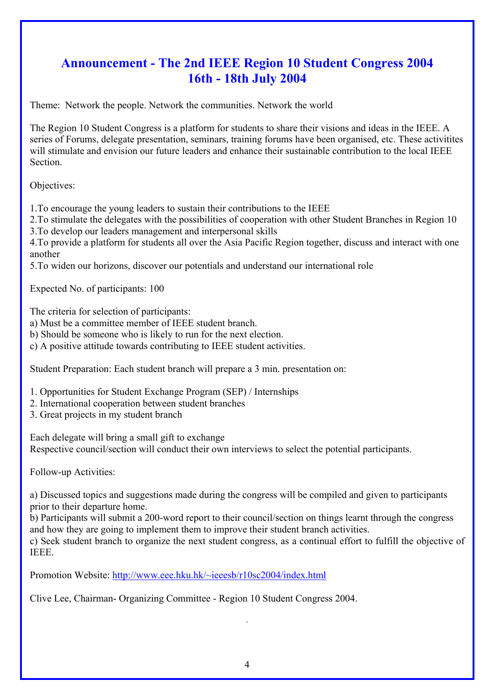## **Announcement - The 2nd IEEE Region 10 Student Congress 2004 16th - 18th July 2004**

Theme: Network the people. Network the communities. Network the world

The Region 10 Student Congress is a platform for students to share their visions and ideas in the IEEE. A series of Forums, delegate presentation, seminars, training forums have been organised, etc. These activitites will stimulate and envision our future leaders and enhance their sustainable contribution to the local IEEE Section.

Objectives:

1.To encourage the young leaders to sustain their contributions to the IEEE

2.To stimulate the delegates with the possibilities of cooperation with other Student Branches in Region 10 3.To develop our leaders management and interpersonal skills

4.To provide a platform for students all over the Asia Pacific Region together, discuss and interact with one another

5.To widen our horizons, discover our potentials and understand our international role

Expected No. of participants: 100

The criteria for selection of participants:

a) Must be a committee member of IEEE student branch.

b) Should be someone who is likely to run for the next election.

c) A positive attitude towards contributing to IEEE student activities.

Student Preparation: Each student branch will prepare a 3 min. presentation on:

- 1. Opportunities for Student Exchange Program (SEP) / Internships
- 2. International cooperation between student branches
- 3. Great projects in my student branch

Each delegate will bring a small gift to exchange Respective council/section will conduct their own interviews to select the potential participants.

Follow-up Activities:

a) Discussed topics and suggestions made during the congress will be compiled and given to participants prior to their departure home.

b) Participants will submit a 200-word report to their council/section on things learnt through the congress and how they are going to implement them to improve their student branch activities.

c) Seek student branch to organize the next student congress, as a continual effort to fulfill the objective of IEEE.

Promotion Website: http://www.eee.hku.hk/~ieeesb/r10sc2004/index.html

Clive Lee, Chairman- Organizing Committee - Region 10 Student Congress 2004.

.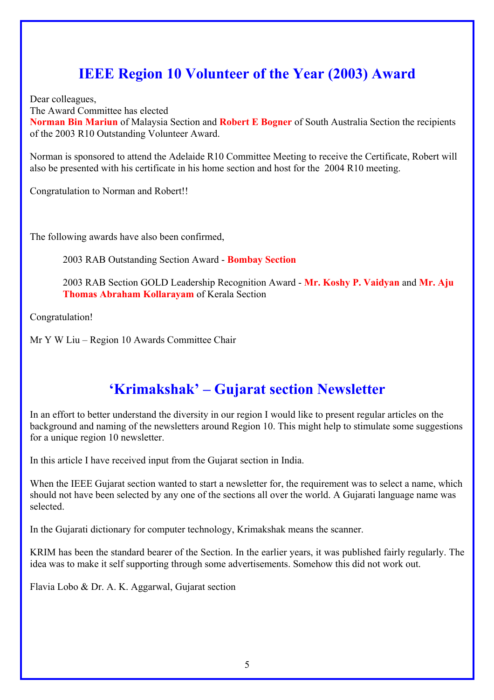# **IEEE Region 10 Volunteer of the Year (2003) Award**

Dear colleagues,

The Award Committee has elected

**Norman Bin Mariun** of Malaysia Section and **Robert E Bogner** of South Australia Section the recipients of the 2003 R10 Outstanding Volunteer Award.

Norman is sponsored to attend the Adelaide R10 Committee Meeting to receive the Certificate, Robert will also be presented with his certificate in his home section and host for the 2004 R10 meeting.

Congratulation to Norman and Robert!!

The following awards have also been confirmed,

2003 RAB Outstanding Section Award - **Bombay Section**

2003 RAB Section GOLD Leadership Recognition Award - **Mr. Koshy P. Vaidyan** and **Mr. Aju Thomas Abraham Kollarayam** of Kerala Section

Congratulation!

Mr Y W Liu – Region 10 Awards Committee Chair

# **'Krimakshak' – Gujarat section Newsletter**

In an effort to better understand the diversity in our region I would like to present regular articles on the background and naming of the newsletters around Region 10. This might help to stimulate some suggestions for a unique region 10 newsletter.

In this article I have received input from the Gujarat section in India.

When the IEEE Gujarat section wanted to start a newsletter for, the requirement was to select a name, which should not have been selected by any one of the sections all over the world. A Gujarati language name was selected.

In the Gujarati dictionary for computer technology, Krimakshak means the scanner.

KRIM has been the standard bearer of the Section. In the earlier years, it was published fairly regularly. The idea was to make it self supporting through some advertisements. Somehow this did not work out.

Flavia Lobo & Dr. A. K. Aggarwal, Gujarat section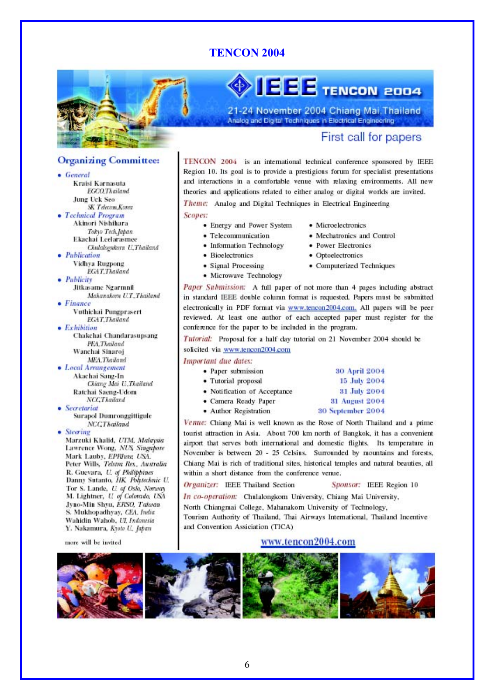## **TENCON 2004**



**Organizing Committee:** 

SK Telecom.Korea

Tokyo Tech.Japan

Chulalognkorn U.Thailand

Mahanakorn U.T.,Thailand

Ekachai Leelarasmee

**FGAT Thailand** 

Vuthichai Pungprasert

**FGAT.Thailand** 

**PFA** Theiland

Ratchai Saeng-Udom NCCThailand

**Surapol Dumronggittigule** 

Marzuki Khalid, UTM, Malaysia

Lawrence Wong, NUS Singapote

Peter Wills, Telstra Res., Australia R. Guevara, U. of Philippines

Danny Sutanto, HK Polytechnic U.

Tor S. Lande, *U. of Oslo, Norway* 

M. Lightner, U. of Colorado, USA Jyno-Min Shyu, ERSO, Taiwan

S. Mukhopadhyay, CEA, India

Wahidin Wahob, UL Indonesia

Y. Nakamura, Kyoto U., Japan

more will be invited

NCCThailand

Mark Lauby, EPRIwa, USA.

Wanchai Sinaroj MEA.Thailand

• Local Arrangement Akachai Sang-In

Chakchai Chandarasupsang

Chiang Mai U.Thailand

Jitkasame Ngarmnil

Kraisi Karnasuta **EGCO.Thailand** 

Akinori Nishihara

Vidhya Rugpong

**Jung Uck Seo** 

• Technical Program

• Publication

Publicity

 $\bullet$  Finance

 $\bullet$  Exhibition

· Secretariat

• Steering

**•** General

# $\sqrt{55}$  Tencon 2004

21-24 November 2004 Chiang Mai, Thailand Analog and Digital Techniques in Electrical Engineering

## First call for papers

#### TENCON 2004 is an international technical conference sponsored by IEEE Region 10. Its goal is to provide a prestigious forum for specialist presentations and interactions in a comfortable venue with relaxing environments. All new theories and applications related to either analog or digital worlds are invited.

Theme: Analog and Digital Techniques in Electrical Engineering

#### Scopes:

- Energy and Power System
- · Telecommunication
- Information Technology
- · Bioelectronics
- · Signal Processing
- · Microwave Technology
- · Microelectronics
- · Mechatronics and Control
- · Power Electronics
- · Optoelectronics
- Computerized Techniques

Paper Submission: A full paper of not more than 4 pages including abstract in standard IEEE double column format is requested. Papers must be submitted electronically in PDF format via www.tencon2004.com. All papers will be peer reviewed. At least one author of each accepted paper must register for the conference for the paper to be included in the program.

Tutorial: Proposal for a half day tutorial on 21 November 2004 should be

#### solicited via www.tencon2004.com

#### Important due dates:

| • Paper submission           | 30 April 2004         |
|------------------------------|-----------------------|
| • Tutorial proposal          | 15 July 2004          |
| · Notification of Acceptance | 31 July 2004          |
| • Camera Ready Paper         | <b>31 August 2004</b> |
| · Author Registration        | 30 September 2004     |

Venue: Chiang Mai is well known as the Rose of North Thailand and a prime tourist attraction in Asia. About 700 km north of Bangkok, it has a convenient airport that serves both international and domestic flights. Its temperature in November is between 20 - 25 Celsius. Surrounded by mountains and forests, Chiang Mai is rich of traditional sites, historical temples and natural beauties, all within a short distance from the conference venue.

Organizer: IEEE Thailand Section

Sponsor: IEEE Region 10

In co-operation: Chulalongkom University, Chiang Mai University, North Chiangmai College, Mahanakom University of Technology, Tourism Authority of Thailand, Thai Airways International, Thailand Incentive and Convention Assiciation (TICA)

#### www.tencon2004.com

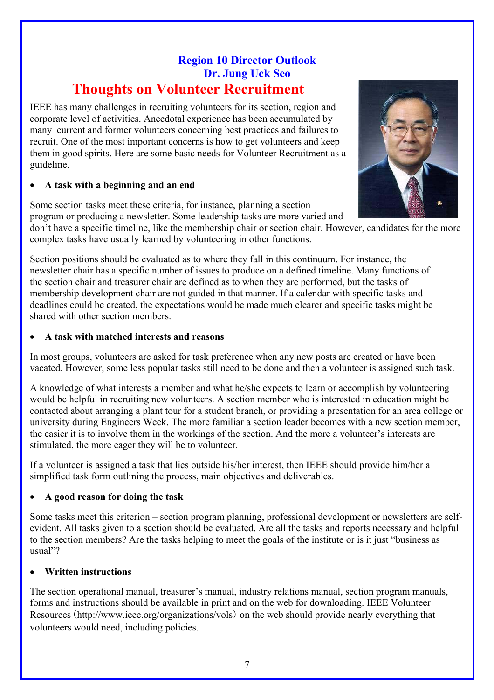## **Region 10 Director Outlook Dr. Jung Uck Seo Thoughts on Volunteer Recruitment**

IEEE has many challenges in recruiting volunteers for its section, region and corporate level of activities. Anecdotal experience has been accumulated by many current and former volunteers concerning best practices and failures to recruit. One of the most important concerns is how to get volunteers and keep them in good spirits. Here are some basic needs for Volunteer Recruitment as a guideline.

#### • **A task with a beginning and an end**

Some section tasks meet these criteria, for instance, planning a section program or producing a newsletter. Some leadership tasks are more varied and

don't have a specific timeline, like the membership chair or section chair. However, candidates for the more complex tasks have usually learned by volunteering in other functions.

Section positions should be evaluated as to where they fall in this continuum. For instance, the newsletter chair has a specific number of issues to produce on a defined timeline. Many functions of the section chair and treasurer chair are defined as to when they are performed, but the tasks of membership development chair are not guided in that manner. If a calendar with specific tasks and deadlines could be created, the expectations would be made much clearer and specific tasks might be shared with other section members.

#### • **A task with matched interests and reasons**

In most groups, volunteers are asked for task preference when any new posts are created or have been vacated. However, some less popular tasks still need to be done and then a volunteer is assigned such task.

A knowledge of what interests a member and what he/she expects to learn or accomplish by volunteering would be helpful in recruiting new volunteers. A section member who is interested in education might be contacted about arranging a plant tour for a student branch, or providing a presentation for an area college or university during Engineers Week. The more familiar a section leader becomes with a new section member, the easier it is to involve them in the workings of the section. And the more a volunteer's interests are stimulated, the more eager they will be to volunteer.

If a volunteer is assigned a task that lies outside his/her interest, then IEEE should provide him/her a simplified task form outlining the process, main objectives and deliverables.

## • **A good reason for doing the task**

Some tasks meet this criterion – section program planning, professional development or newsletters are selfevident. All tasks given to a section should be evaluated. Are all the tasks and reports necessary and helpful to the section members? Are the tasks helping to meet the goals of the institute or is it just "business as usual"?

#### • **Written instructions**

The section operational manual, treasurer's manual, industry relations manual, section program manuals, forms and instructions should be available in print and on the web for downloading. IEEE Volunteer Resources (http://www.ieee.org/organizations/vols) on the web should provide nearly everything that volunteers would need, including policies.

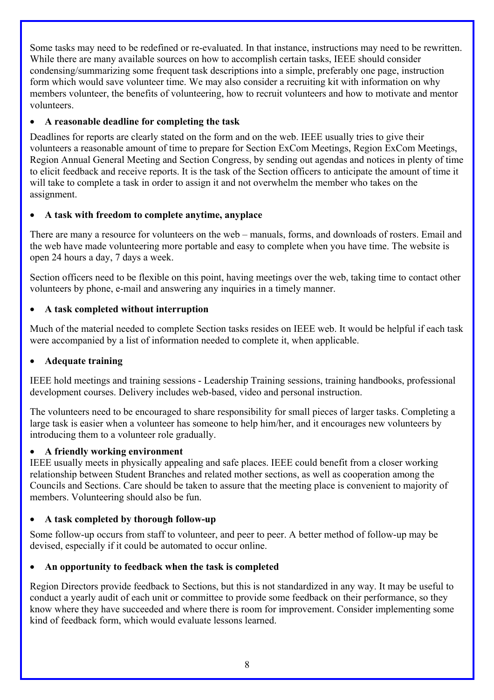Some tasks may need to be redefined or re-evaluated. In that instance, instructions may need to be rewritten. While there are many available sources on how to accomplish certain tasks, IEEE should consider condensing/summarizing some frequent task descriptions into a simple, preferably one page, instruction form which would save volunteer time. We may also consider a recruiting kit with information on why members volunteer, the benefits of volunteering, how to recruit volunteers and how to motivate and mentor volunteers.

## • **A reasonable deadline for completing the task**

Deadlines for reports are clearly stated on the form and on the web. IEEE usually tries to give their volunteers a reasonable amount of time to prepare for Section ExCom Meetings, Region ExCom Meetings, Region Annual General Meeting and Section Congress, by sending out agendas and notices in plenty of time to elicit feedback and receive reports. It is the task of the Section officers to anticipate the amount of time it will take to complete a task in order to assign it and not overwhelm the member who takes on the assignment.

## • **A task with freedom to complete anytime, anyplace**

There are many a resource for volunteers on the web – manuals, forms, and downloads of rosters. Email and the web have made volunteering more portable and easy to complete when you have time. The website is open 24 hours a day, 7 days a week.

Section officers need to be flexible on this point, having meetings over the web, taking time to contact other volunteers by phone, e-mail and answering any inquiries in a timely manner.

## • **A task completed without interruption**

Much of the material needed to complete Section tasks resides on IEEE web. It would be helpful if each task were accompanied by a list of information needed to complete it, when applicable.

## • **Adequate training**

IEEE hold meetings and training sessions - Leadership Training sessions, training handbooks, professional development courses. Delivery includes web-based, video and personal instruction.

The volunteers need to be encouraged to share responsibility for small pieces of larger tasks. Completing a large task is easier when a volunteer has someone to help him/her, and it encourages new volunteers by introducing them to a volunteer role gradually.

## • **A friendly working environment**

IEEE usually meets in physically appealing and safe places. IEEE could benefit from a closer working relationship between Student Branches and related mother sections, as well as cooperation among the Councils and Sections. Care should be taken to assure that the meeting place is convenient to majority of members. Volunteering should also be fun.

## • **A task completed by thorough follow-up**

Some follow-up occurs from staff to volunteer, and peer to peer. A better method of follow-up may be devised, especially if it could be automated to occur online.

## • **An opportunity to feedback when the task is completed**

Region Directors provide feedback to Sections, but this is not standardized in any way. It may be useful to conduct a yearly audit of each unit or committee to provide some feedback on their performance, so they know where they have succeeded and where there is room for improvement. Consider implementing some kind of feedback form, which would evaluate lessons learned.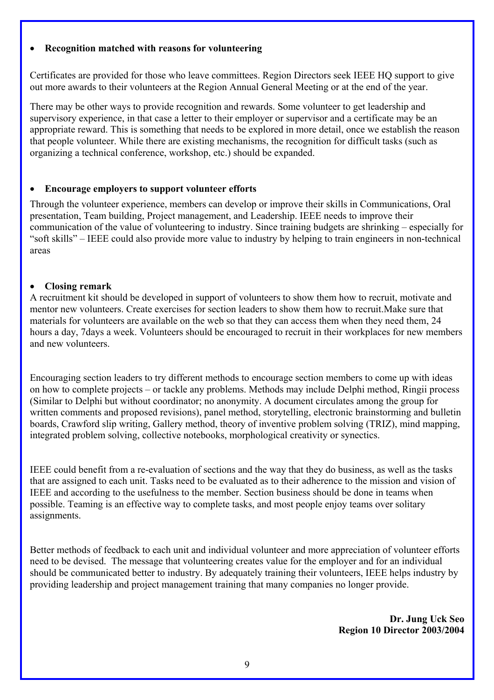#### • **Recognition matched with reasons for volunteering**

Certificates are provided for those who leave committees. Region Directors seek IEEE HQ support to give out more awards to their volunteers at the Region Annual General Meeting or at the end of the year.

There may be other ways to provide recognition and rewards. Some volunteer to get leadership and supervisory experience, in that case a letter to their employer or supervisor and a certificate may be an appropriate reward. This is something that needs to be explored in more detail, once we establish the reason that people volunteer. While there are existing mechanisms, the recognition for difficult tasks (such as organizing a technical conference, workshop, etc.) should be expanded.

#### • **Encourage employers to support volunteer efforts**

Through the volunteer experience, members can develop or improve their skills in Communications, Oral presentation, Team building, Project management, and Leadership. IEEE needs to improve their communication of the value of volunteering to industry. Since training budgets are shrinking – especially for "soft skills" – IEEE could also provide more value to industry by helping to train engineers in non-technical areas

#### • **Closing remark**

A recruitment kit should be developed in support of volunteers to show them how to recruit, motivate and mentor new volunteers. Create exercises for section leaders to show them how to recruit.Make sure that materials for volunteers are available on the web so that they can access them when they need them, 24 hours a day, 7days a week. Volunteers should be encouraged to recruit in their workplaces for new members and new volunteers.

Encouraging section leaders to try different methods to encourage section members to come up with ideas on how to complete projects – or tackle any problems. Methods may include Delphi method, Ringii process (Similar to Delphi but without coordinator; no anonymity. A document circulates among the group for written comments and proposed revisions), panel method, storytelling, electronic brainstorming and bulletin boards, Crawford slip writing, Gallery method, theory of inventive problem solving (TRIZ), mind mapping, integrated problem solving, collective notebooks, morphological creativity or synectics.

IEEE could benefit from a re-evaluation of sections and the way that they do business, as well as the tasks that are assigned to each unit. Tasks need to be evaluated as to their adherence to the mission and vision of IEEE and according to the usefulness to the member. Section business should be done in teams when possible. Teaming is an effective way to complete tasks, and most people enjoy teams over solitary assignments.

Better methods of feedback to each unit and individual volunteer and more appreciation of volunteer efforts need to be devised. The message that volunteering creates value for the employer and for an individual should be communicated better to industry. By adequately training their volunteers, IEEE helps industry by providing leadership and project management training that many companies no longer provide.

> **Dr. Jung Uck Seo Region 10 Director 2003/2004**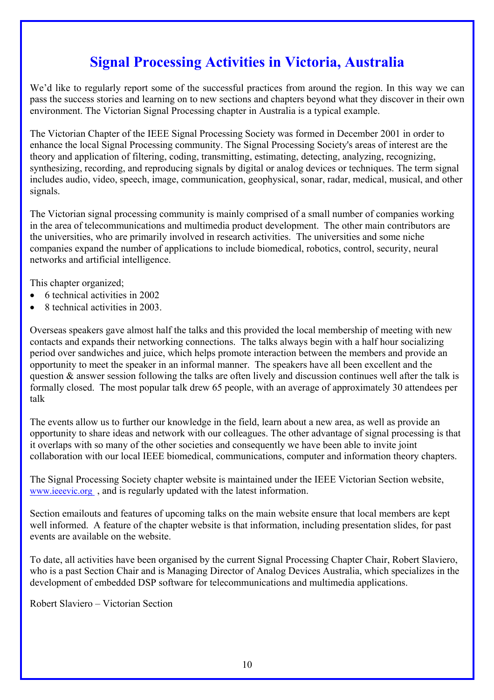# **Signal Processing Activities in Victoria, Australia**

We'd like to regularly report some of the successful practices from around the region. In this way we can pass the success stories and learning on to new sections and chapters beyond what they discover in their own environment. The Victorian Signal Processing chapter in Australia is a typical example.

The Victorian Chapter of the IEEE Signal Processing Society was formed in December 2001 in order to enhance the local Signal Processing community. The Signal Processing Society's areas of interest are the theory and application of filtering, coding, transmitting, estimating, detecting, analyzing, recognizing, synthesizing, recording, and reproducing signals by digital or analog devices or techniques. The term signal includes audio, video, speech, image, communication, geophysical, sonar, radar, medical, musical, and other signals.

The Victorian signal processing community is mainly comprised of a small number of companies working in the area of telecommunications and multimedia product development. The other main contributors are the universities, who are primarily involved in research activities. The universities and some niche companies expand the number of applications to include biomedical, robotics, control, security, neural networks and artificial intelligence.

This chapter organized;

- 6 technical activities in 2002
- 8 technical activities in 2003.

Overseas speakers gave almost half the talks and this provided the local membership of meeting with new contacts and expands their networking connections. The talks always begin with a half hour socializing period over sandwiches and juice, which helps promote interaction between the members and provide an opportunity to meet the speaker in an informal manner. The speakers have all been excellent and the question & answer session following the talks are often lively and discussion continues well after the talk is formally closed. The most popular talk drew 65 people, with an average of approximately 30 attendees per talk

The events allow us to further our knowledge in the field, learn about a new area, as well as provide an opportunity to share ideas and network with our colleagues. The other advantage of signal processing is that it overlaps with so many of the other societies and consequently we have been able to invite joint collaboration with our local IEEE biomedical, communications, computer and information theory chapters.

The Signal Processing Society chapter website is maintained under the IEEE Victorian Section website, [www.ieeevic.org](http://www.ieeevic.org/) , and is regularly updated with the latest information.

Section emailouts and features of upcoming talks on the main website ensure that local members are kept well informed. A feature of the chapter website is that information, including presentation slides, for past events are available on the website.

To date, all activities have been organised by the current Signal Processing Chapter Chair, Robert Slaviero, who is a past Section Chair and is Managing Director of Analog Devices Australia, which specializes in the development of embedded DSP software for telecommunications and multimedia applications.

Robert Slaviero – Victorian Section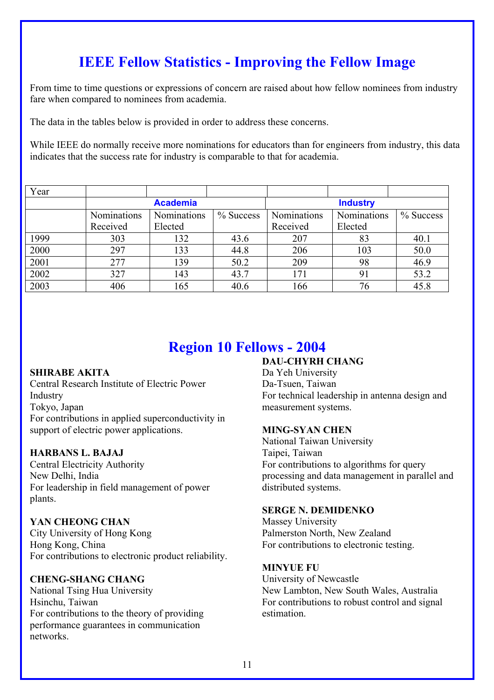# **IEEE Fellow Statistics - Improving the Fellow Image**

From time to time questions or expressions of concern are raised about how fellow nominees from industry fare when compared to nominees from academia.

The data in the tables below is provided in order to address these concerns.

While IEEE do normally receive more nominations for educators than for engineers from industry, this data indicates that the success rate for industry is comparable to that for academia.

| Year |                    |             |                 |             |                    |              |
|------|--------------------|-------------|-----------------|-------------|--------------------|--------------|
|      | <b>Academia</b>    |             | <b>Industry</b> |             |                    |              |
|      | <b>Nominations</b> | Nominations | $\%$ Success    | Nominations | <b>Nominations</b> | $\%$ Success |
|      | Received           | Elected     |                 | Received    | Elected            |              |
| 1999 | 303                | 132         | 43.6            | 207         | 83                 | 40.1         |
| 2000 | 297                | 133         | 44.8            | 206         | 103                | 50.0         |
| 2001 | 277                | 139         | 50.2            | 209         | 98                 | 46.9         |
| 2002 | 327                | 143         | 43.7            | 171         | 91                 | 53.2         |
| 2003 | 406                | 165         | 40.6            | 166         | 76                 | 45.8         |

# **Region 10 Fellows - 2004**

#### **SHIRABE AKITA**

Central Research Institute of Electric Power Industry Tokyo, Japan For contributions in applied superconductivity in support of electric power applications.

#### **HARBANS L. BAJAJ**

Central Electricity Authority New Delhi, India For leadership in field management of power plants.

#### **YAN CHEONG CHAN**

City University of Hong Kong Hong Kong, China For contributions to electronic product reliability.

#### **CHENG-SHANG CHANG**

National Tsing Hua University Hsinchu, Taiwan For contributions to the theory of providing performance guarantees in communication networks.

## **DAU-CHYRH CHANG**

Da Yeh University Da-Tsuen, Taiwan For technical leadership in antenna design and measurement systems.

#### **MING-SYAN CHEN**

National Taiwan University Taipei, Taiwan For contributions to algorithms for query processing and data management in parallel and distributed systems.

#### **SERGE N. DEMIDENKO**

Massey University Palmerston North, New Zealand For contributions to electronic testing.

#### **MINYUE FU**

University of Newcastle New Lambton, New South Wales, Australia For contributions to robust control and signal estimation.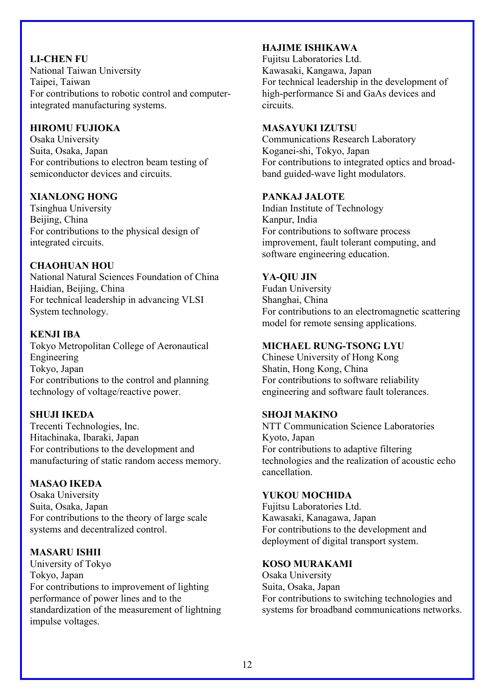### **LI-CHEN FU**  National Taiwan University Taipei, Taiwan For contributions to robotic control and computerintegrated manufacturing systems.

### **HIROMU FUJIOKA**

Osaka University Suita, Osaka, Japan For contributions to electron beam testing of semiconductor devices and circuits.

#### **XIANLONG HONG**

Tsinghua University Beijing, China For contributions to the physical design of integrated circuits.

## **CHAOHUAN HOU**

National Natural Sciences Foundation of China Haidian, Beijing, China For technical leadership in advancing VLSI System technology.

#### **KENJI IBA**

Tokyo Metropolitan College of Aeronautical Engineering Tokyo, Japan For contributions to the control and planning technology of voltage/reactive power.

## **SHUJI IKEDA**

Trecenti Technologies, Inc. Hitachinaka, Ibaraki, Japan For contributions to the development and manufacturing of static random access memory.

#### **MASAO IKEDA**

Osaka University Suita, Osaka, Japan For contributions to the theory of large scale systems and decentralized control.

#### **MASARU ISHII**

University of Tokyo Tokyo, Japan For contributions to improvement of lighting performance of power lines and to the standardization of the measurement of lightning impulse voltages.

### **HAJIME ISHIKAWA**

Fujitsu Laboratories Ltd. Kawasaki, Kangawa, Japan For technical leadership in the development of high-performance Si and GaAs devices and circuits.

#### **MASAYUKI IZUTSU**

Communications Research Laboratory Koganei-shi, Tokyo, Japan For contributions to integrated optics and broadband guided-wave light modulators.

#### **PANKAJ JALOTE**

Indian Institute of Technology Kanpur, India For contributions to software process improvement, fault tolerant computing, and software engineering education.

#### **YA-QIU JIN**

Fudan University Shanghai, China For contributions to an electromagnetic scattering model for remote sensing applications.

#### **MICHAEL RUNG-TSONG LYU**

Chinese University of Hong Kong Shatin, Hong Kong, China For contributions to software reliability engineering and software fault tolerances.

#### **SHOJI MAKINO**

NTT Communication Science Laboratories Kyoto, Japan For contributions to adaptive filtering technologies and the realization of acoustic echo cancellation.

#### **YUKOU MOCHIDA**

Fujitsu Laboratories Ltd. Kawasaki, Kanagawa, Japan For contributions to the development and deployment of digital transport system.

#### **KOSO MURAKAMI**

Osaka University Suita, Osaka, Japan For contributions to switching technologies and systems for broadband communications networks.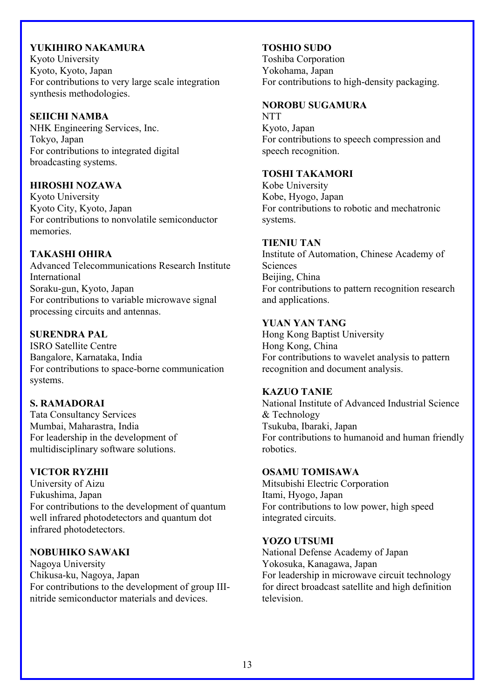#### **YUKIHIRO NAKAMURA**

Kyoto University Kyoto, Kyoto, Japan For contributions to very large scale integration synthesis methodologies.

#### **SEIICHI NAMBA**

NHK Engineering Services, Inc. Tokyo, Japan For contributions to integrated digital broadcasting systems.

#### **HIROSHI NOZAWA**

Kyoto University Kyoto City, Kyoto, Japan For contributions to nonvolatile semiconductor memories.

#### **TAKASHI OHIRA**

Advanced Telecommunications Research Institute International Soraku-gun, Kyoto, Japan For contributions to variable microwave signal processing circuits and antennas.

#### **SURENDRA PAL**

ISRO Satellite Centre Bangalore, Karnataka, India For contributions to space-borne communication systems.

#### **S. RAMADORAI**

Tata Consultancy Services Mumbai, Maharastra, India For leadership in the development of multidisciplinary software solutions.

#### **VICTOR RYZHII**

University of Aizu Fukushima, Japan For contributions to the development of quantum well infrared photodetectors and quantum dot infrared photodetectors.

#### **NOBUHIKO SAWAKI**

Nagoya University Chikusa-ku, Nagoya, Japan For contributions to the development of group IIInitride semiconductor materials and devices.

#### **TOSHIO SUDO**

Toshiba Corporation Yokohama, Japan For contributions to high-density packaging.

### **NOROBU SUGAMURA**

**NTT** Kyoto, Japan For contributions to speech compression and speech recognition.

#### **TOSHI TAKAMORI**

Kobe University Kobe, Hyogo, Japan For contributions to robotic and mechatronic systems.

#### **TIENIU TAN**

Institute of Automation, Chinese Academy of **Sciences** Beijing, China For contributions to pattern recognition research and applications.

#### **YUAN YAN TANG**

Hong Kong Baptist University Hong Kong, China For contributions to wavelet analysis to pattern recognition and document analysis.

#### **KAZUO TANIE**

National Institute of Advanced Industrial Science & Technology Tsukuba, Ibaraki, Japan For contributions to humanoid and human friendly robotics.

#### **OSAMU TOMISAWA**

Mitsubishi Electric Corporation Itami, Hyogo, Japan For contributions to low power, high speed integrated circuits.

#### **YOZO UTSUMI**

National Defense Academy of Japan Yokosuka, Kanagawa, Japan For leadership in microwave circuit technology for direct broadcast satellite and high definition television.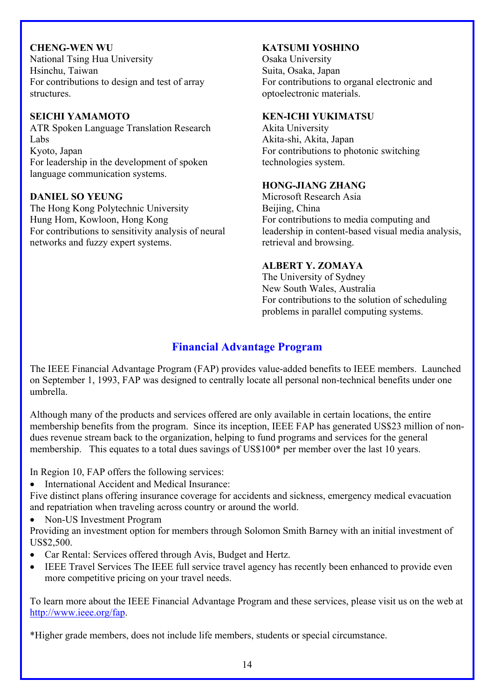**CHENG-WEN WU**  National Tsing Hua University Hsinchu, Taiwan For contributions to design and test of array structures.

#### **SEICHI YAMAMOTO**

ATR Spoken Language Translation Research Labs Kyoto, Japan For leadership in the development of spoken language communication systems.

#### **DANIEL SO YEUNG**

The Hong Kong Polytechnic University Hung Hom, Kowloon, Hong Kong For contributions to sensitivity analysis of neural networks and fuzzy expert systems.

### **KATSUMI YOSHINO**

Osaka University Suita, Osaka, Japan For contributions to organal electronic and optoelectronic materials.

#### **KEN-ICHI YUKIMATSU**

Akita University Akita-shi, Akita, Japan For contributions to photonic switching technologies system.

#### **HONG-JIANG ZHANG**

Microsoft Research Asia Beijing, China For contributions to media computing and leadership in content-based visual media analysis, retrieval and browsing.

## **ALBERT Y. ZOMAYA**

The University of Sydney New South Wales, Australia For contributions to the solution of scheduling problems in parallel computing systems.

## **Financial Advantage Program**

The IEEE Financial Advantage Program (FAP) provides value-added benefits to IEEE members. Launched on September 1, 1993, FAP was designed to centrally locate all personal non-technical benefits under one umbrella.

Although many of the products and services offered are only available in certain locations, the entire membership benefits from the program. Since its inception, IEEE FAP has generated US\$23 million of nondues revenue stream back to the organization, helping to fund programs and services for the general membership. This equates to a total dues savings of US\$100\* per member over the last 10 years.

In Region 10, FAP offers the following services:

• International Accident and Medical Insurance:

Five distinct plans offering insurance coverage for accidents and sickness, emergency medical evacuation and repatriation when traveling across country or around the world.

• Non-US Investment Program

Providing an investment option for members through Solomon Smith Barney with an initial investment of US\$2,500.

- Car Rental: Services offered through Avis, Budget and Hertz.
- IEEE Travel Services The IEEE full service travel agency has recently been enhanced to provide even more competitive pricing on your travel needs.

To learn more about the IEEE Financial Advantage Program and these services, please visit us on the web at http://www.ieee.org/fap.

\*Higher grade members, does not include life members, students or special circumstance.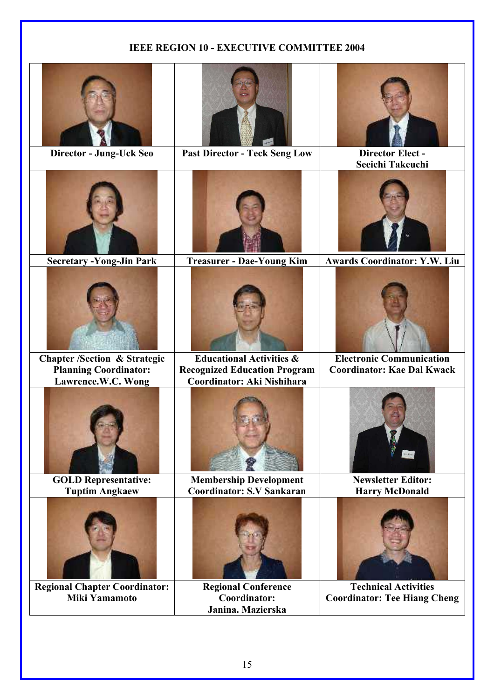## **IEEE REGION 10 - EXECUTIVE COMMITTEE 2004**

| Director - Jung-Uck Seo                                                                       | <b>Past Director - Teck Seng Low</b>                                                                     | <b>Director Elect -</b><br>Seeichi Takeuchi                          |
|-----------------------------------------------------------------------------------------------|----------------------------------------------------------------------------------------------------------|----------------------------------------------------------------------|
| <b>Secretary -Yong-Jin Park</b>                                                               | <b>Treasurer - Dae-Young Kim</b>                                                                         | <b>Awards Coordinator: Y.W. Liu</b>                                  |
|                                                                                               |                                                                                                          |                                                                      |
| <b>Chapter /Section &amp; Strategic</b><br><b>Planning Coordinator:</b><br>Lawrence.W.C. Wong | <b>Educational Activities &amp;</b><br><b>Recognized Education Program</b><br>Coordinator: Aki Nishihara | <b>Electronic Communication</b><br><b>Coordinator: Kae Dal Kwack</b> |
|                                                                                               |                                                                                                          |                                                                      |
| <b>GOLD Representative:</b><br><b>Tuptim Angkaew</b>                                          | <b>Membership Development</b><br><b>Coordinator: S.V Sankaran</b>                                        | <b>Newsletter Editor:</b><br><b>Harry McDonald</b>                   |
|                                                                                               |                                                                                                          |                                                                      |
| <b>Regional Chapter Coordinator:</b><br><b>Miki Yamamoto</b>                                  | <b>Regional Conference</b><br>Coordinator:<br>Janina. Mazierska                                          | <b>Technical Activities</b><br><b>Coordinator: Tee Hiang Cheng</b>   |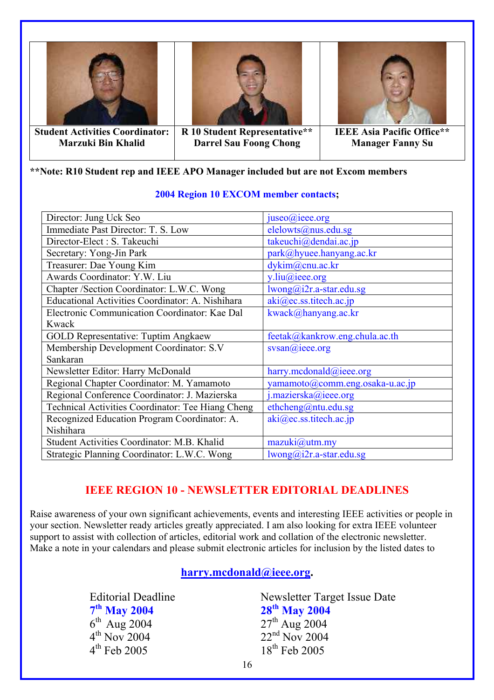





**Student Activities Coordinator: Marzuki Bin Khalid** 

**R 10 Student Representative\*\* Darrel Sau Foong Chong**

#### **IEEE Asia Pacific Office\*\* Manager Fanny Su**

## **\*\*Note: R10 Student rep and IEEE APO Manager included but are not Excom members**

| Director: Jung Uck Seo                            | juseo@ieee.org                  |
|---------------------------------------------------|---------------------------------|
| Immediate Past Director: T. S. Low                | elelowts@nus.edu.sg             |
| Director-Elect : S. Takeuchi                      | takeuchi@dendai.ac.jp           |
| Secretary: Yong-Jin Park                          | park@hyuee.hanyang.ac.kr        |
| Treasurer: Dae Young Kim                          | dykim@cnu.ac.kr                 |
| Awards Coordinator: Y.W. Liu                      | $y$ .liu@ieee.org               |
| Chapter /Section Coordinator: L.W.C. Wong         | lwong@i2r.a-star.edu.sg         |
| Educational Activities Coordinator: A. Nishihara  | aki@ec.ss.titech.ac.jp          |
| Electronic Communication Coordinator: Kae Dal     | kwack@hanyang.ac.kr             |
| Kwack                                             |                                 |
| <b>GOLD Representative: Tuptim Angkaew</b>        | feetak@kankrow.eng.chula.ac.th  |
| Membership Development Coordinator: S.V           | svsan@ieee.org                  |
| Sankaran                                          |                                 |
| Newsletter Editor: Harry McDonald                 | harry.mcdonald@ieee.org         |
| Regional Chapter Coordinator: M. Yamamoto         | yamamoto@comm.eng.osaka-u.ac.jp |
| Regional Conference Coordinator: J. Mazierska     | j.mazierska@ieee.org            |
| Technical Activities Coordinator: Tee Hiang Cheng | ethcheng@ntu.edu.sg             |
| Recognized Education Program Coordinator: A.      | aki@ec.ss.titech.ac.jp          |
| Nishihara                                         |                                 |
| Student Activities Coordinator: M.B. Khalid       | $maxuki(a)$ utm.my              |
| Strategic Planning Coordinator: L.W.C. Wong       | $lwong@i2r.a-star.edu.sg$       |

#### **2004 Region 10 EXCOM member contacts;**

## **IEEE REGION 10 - NEWSLETTER EDITORIAL DEADLINES**

Raise awareness of your own significant achievements, events and interesting IEEE activities or people in your section. Newsletter ready articles greatly appreciated. I am also looking for extra IEEE volunteer support to assist with collection of articles, editorial work and collation of the electronic newsletter. Make a note in your calendars and please submit electronic articles for inclusion by the listed dates to

## **[harry.mcdonald@ieee.org.](mailto:harry.mcdonald@ieee.org)**

 $7^{th}$  May 2004 28<sup>th</sup> May 2004<br>  $6^{th}$  Aug 2004 27<sup>th</sup> Aug 2004  $6^{th}$  Aug 2004<br>  $4^{th}$  Nov 2004<br>  $2^{th}$  Nov 2004<br>  $2^{nd}$  Nov 2004  $4^{\text{th}}$  Nov 2004<br>  $4^{\text{th}}$  Feb 2005<br>  $18^{\text{th}}$  Feb 2005<br>  $18^{\text{th}}$  Feb 2005

Editorial Deadline<br>  $7<sup>th</sup>$  May 2004<br>  $28<sup>th</sup>$  May 2004<br>  $28<sup>th</sup>$  May 2004  $18<sup>th</sup>$  Feb 2005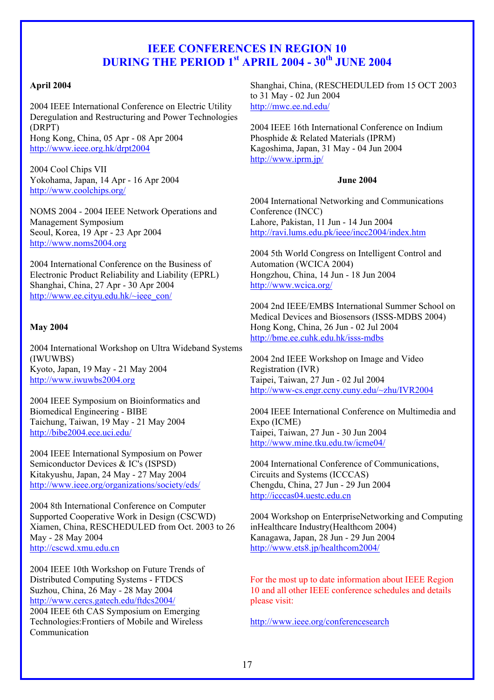## **IEEE CONFERENCES IN REGION 10 DURING THE PERIOD 1<sup>st</sup> APRIL 2004 - 30<sup>th</sup> JUNE 2004**

#### **April 2004**

2004 IEEE International Conference on Electric Utility Deregulation and Restructuring and Power Technologies (DRPT) Hong Kong, China, 05 Apr - 08 Apr 2004 <http://www.ieee.org.hk/drpt2004>

2004 Cool Chips VII Yokohama, Japan, 14 Apr - 16 Apr 2004 <http://www.coolchips.org/>

NOMS 2004 - 2004 IEEE Network Operations and Management Symposium Seoul, Korea, 19 Apr - 23 Apr 2004 [http://www.noms2004.org](http://www.noms2004.org/) 

2004 International Conference on the Business of Electronic Product Reliability and Liability (EPRL) Shanghai, China, 27 Apr - 30 Apr 2004 http://www.ee.cityu.edu.hk/~ieee\_con/

#### **May 2004**

2004 International Workshop on Ultra Wideband Systems (IWUWBS) Kyoto, Japan, 19 May - 21 May 2004 [http://www.iwuwbs2004.org](http://www.iwuwbs2004.org/) 

2004 IEEE Symposium on Bioinformatics and Biomedical Engineering - BIBE Taichung, Taiwan, 19 May - 21 May 2004 http://bibe2004.ece.uci.edu/

2004 IEEE International Symposium on Power Semiconductor Devices & IC's (ISPSD) Kitakyushu, Japan, 24 May - 27 May 2004 <http://www.ieee.org/organizations/society/eds/>

2004 8th International Conference on Computer Supported Cooperative Work in Design (CSCWD) Xiamen, China, RESCHEDULED from Oct. 2003 to 26 May - 28 May 2004 [http://cscwd.xmu.edu.cn](http://cscwd.xmu.edu.cn/) 

2004 IEEE 10th Workshop on Future Trends of Distributed Computing Systems - FTDCS Suzhou, China, 26 May - 28 May 2004 http://www.cercs.gatech.edu/ftdcs2004/

2004 IEEE 6th CAS Symposium on Emerging Technologies:Frontiers of Mobile and Wireless Communication

Shanghai, China, (RESCHEDULED from 15 OCT 2003 to 31 May - 02 Jun 2004 <http://mwc.ee.nd.edu/>

2004 IEEE 16th International Conference on Indium Phosphide & Related Materials (IPRM) Kagoshima, Japan, 31 May - 04 Jun 2004 http://www.iprm.jp/

#### **June 2004**

2004 International Networking and Communications Conference (INCC) Lahore, Pakistan, 11 Jun - 14 Jun 2004 <http://ravi.lums.edu.pk/ieee/incc2004/index.htm>

2004 5th World Congress on Intelligent Control and Automation (WCICA 2004) Hongzhou, China, 14 Jun - 18 Jun 2004 <http://www.wcica.org/>

2004 2nd IEEE/EMBS International Summer School on Medical Devices and Biosensors (ISSS-MDBS 2004) Hong Kong, China, 26 Jun - 02 Jul 2004 <http://bme.ee.cuhk.edu.hk/isss-mdbs>

2004 2nd IEEE Workshop on Image and Video Registration (IVR) Taipei, Taiwan, 27 Jun - 02 Jul 2004 <http://www-cs.engr.ccny.cuny.edu/~zhu/IVR2004>

2004 IEEE International Conference on Multimedia and Expo (ICME) Taipei, Taiwan, 27 Jun - 30 Jun 2004 <http://www.mine.tku.edu.tw/icme04/>

2004 International Conference of Communications, Circuits and Systems (ICCCAS) Chengdu, China, 27 Jun - 29 Jun 2004 [http://icccas04.uestc.edu.cn](http://icccas04.uestc.edu.cn/) 

2004 Workshop on EnterpriseNetworking and Computing inHealthcare Industry(Healthcom 2004) Kanagawa, Japan, 28 Jun - 29 Jun 2004 http://www.ets8.jp/healthcom2004/

For the most up to date information about IEEE Region 10 and all other IEEE conference schedules and details please visit:

http://www.ieee.org/conferencesearch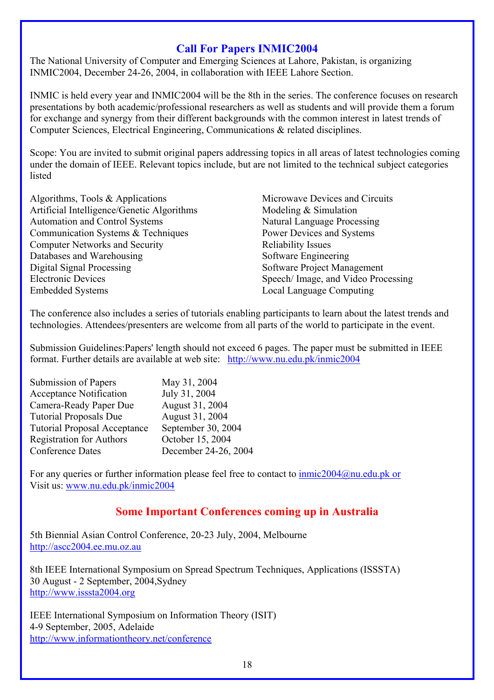## **Call For Papers INMIC2004**

The National University of Computer and Emerging Sciences at Lahore, Pakistan, is organizing INMIC2004, December 24-26, 2004, in collaboration with IEEE Lahore Section.

INMIC is held every year and INMIC2004 will be the 8th in the series. The conference focuses on research presentations by both academic/professional researchers as well as students and will provide them a forum for exchange and synergy from their different backgrounds with the common interest in latest trends of Computer Sciences, Electrical Engineering, Communications & related disciplines.

Scope: You are invited to submit original papers addressing topics in all areas of latest technologies coming under the domain of IEEE. Relevant topics include, but are not limited to the technical subject categories listed

Algorithms, Tools & Applications Artificial Intelligence/Genetic Algorithms Automation and Control Systems Communication Systems & Techniques Computer Networks and Security Databases and Warehousing Digital Signal Processing Electronic Devices Embedded Systems

Microwave Devices and Circuits Modeling & Simulation Natural Language Processing Power Devices and Systems Reliability Issues Software Engineering Software Project Management Speech/ Image, and Video Processing Local Language Computing

The conference also includes a series of tutorials enabling participants to learn about the latest trends and technologies. Attendees/presenters are welcome from all parts of the world to participate in the event.

Submission Guidelines:Papers' length should not exceed 6 pages. The paper must be submitted in IEEE format. Further details are available at web site: http://www.nu.edu.pk/inmic2004

| Submission of Papers                | May 31, 2004         |
|-------------------------------------|----------------------|
| <b>Acceptance Notification</b>      | July 31, 2004        |
| Camera-Ready Paper Due              | August 31, 2004      |
| <b>Tutorial Proposals Due</b>       | August 31, 2004      |
| <b>Tutorial Proposal Acceptance</b> | September 30, 2004   |
| <b>Registration for Authors</b>     | October 15, 2004     |
| <b>Conference Dates</b>             | December 24-26, 2004 |

For any queries or further information please feel free to contact to  $immic2004@nu.edu.ph$  or Visit us: www.nu.edu.pk/inmic2004

## **Some Important Conferences coming up in Australia**

5th Biennial Asian Control Conference, 20-23 July, 2004, Melbourne http://ascc2004.ee.mu.oz.au

8th IEEE International Symposium on Spread Spectrum Techniques, Applications (ISSSTA) 30 August - 2 September, 2004,Sydney http://www.isssta2004.org

IEEE International Symposium on Information Theory (ISIT) 4-9 September, 2005, Adelaide http://www.informationtheory.net/conference